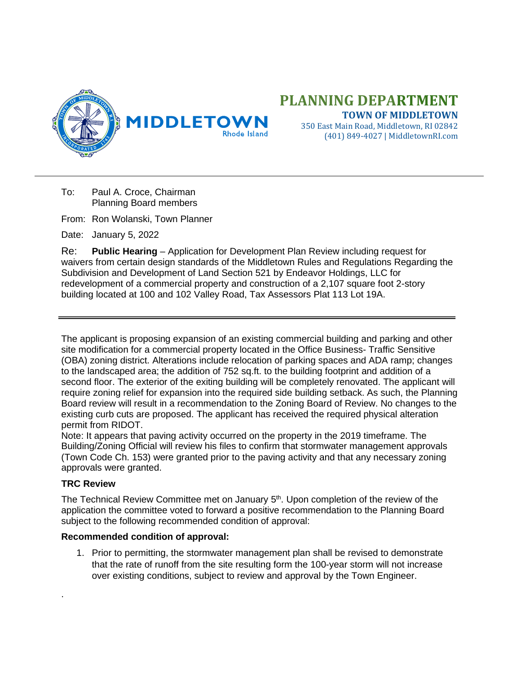

# **PLANNING DEPARTMENT TOWN OF MIDDLETOWN**

350 East Main Road, Middletown, RI 02842 (401) 849-4027 | MiddletownRI.com

- To: Paul A. Croce, Chairman Planning Board members
- From: Ron Wolanski, Town Planner

Date: January 5, 2022

Re: **Public Hearing** – Application for Development Plan Review including request for waivers from certain design standards of the Middletown Rules and Regulations Regarding the Subdivision and Development of Land Section 521 by Endeavor Holdings, LLC for redevelopment of a commercial property and construction of a 2,107 square foot 2-story building located at 100 and 102 Valley Road, Tax Assessors Plat 113 Lot 19A.

The applicant is proposing expansion of an existing commercial building and parking and other site modification for a commercial property located in the Office Business- Traffic Sensitive (OBA) zoning district. Alterations include relocation of parking spaces and ADA ramp; changes to the landscaped area; the addition of 752 sq.ft. to the building footprint and addition of a second floor. The exterior of the exiting building will be completely renovated. The applicant will require zoning relief for expansion into the required side building setback. As such, the Planning Board review will result in a recommendation to the Zoning Board of Review. No changes to the existing curb cuts are proposed. The applicant has received the required physical alteration permit from RIDOT.

Note: It appears that paving activity occurred on the property in the 2019 timeframe. The Building/Zoning Official will review his files to confirm that stormwater management approvals (Town Code Ch. 153) were granted prior to the paving activity and that any necessary zoning approvals were granted.

## **TRC Review**

.

The Technical Review Committee met on January 5<sup>th</sup>. Upon completion of the review of the application the committee voted to forward a positive recommendation to the Planning Board subject to the following recommended condition of approval:

## **Recommended condition of approval:**

1. Prior to permitting, the stormwater management plan shall be revised to demonstrate that the rate of runoff from the site resulting form the 100-year storm will not increase over existing conditions, subject to review and approval by the Town Engineer.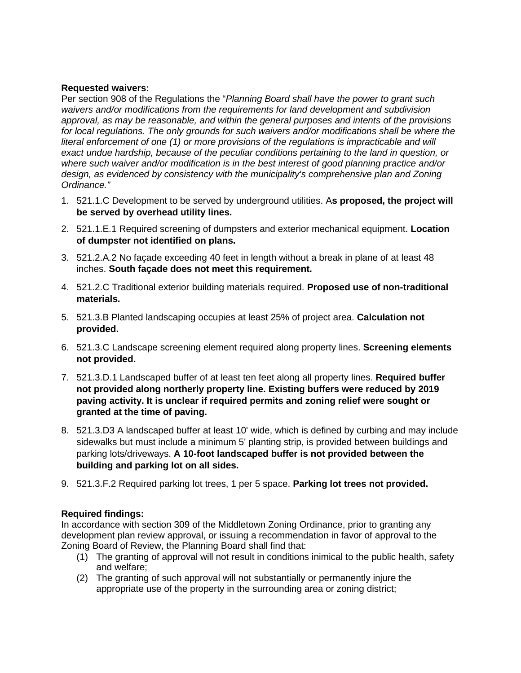### **Requested waivers:**

Per section 908 of the Regulations the "*Planning Board shall have the power to grant such waivers and/or modifications from the requirements for land development and subdivision approval, as may be reasonable, and within the general purposes and intents of the provisions*  for local regulations. The only grounds for such waivers and/or modifications shall be where the *literal enforcement of one (1) or more provisions of the regulations is impracticable and will exact undue hardship, because of the peculiar conditions pertaining to the land in question, or where such waiver and/or modification is in the best interest of good planning practice and/or design, as evidenced by consistency with the municipality's comprehensive plan and Zoning Ordinance."*

- 1. 521.1.C Development to be served by underground utilities. A**s proposed, the project will be served by overhead utility lines.**
- 2. 521.1.E.1 Required screening of dumpsters and exterior mechanical equipment. **Location of dumpster not identified on plans.**
- 3. 521.2.A.2 No façade exceeding 40 feet in length without a break in plane of at least 48 inches. **South façade does not meet this requirement.**
- 4. 521.2.C Traditional exterior building materials required. **Proposed use of non-traditional materials.**
- 5. 521.3.B Planted landscaping occupies at least 25% of project area. **Calculation not provided.**
- 6. 521.3.C Landscape screening element required along property lines. **Screening elements not provided.**
- 7. 521.3.D.1 Landscaped buffer of at least ten feet along all property lines. **Required buffer not provided along northerly property line. Existing buffers were reduced by 2019 paving activity. It is unclear if required permits and zoning relief were sought or granted at the time of paving.**
- 8. 521.3.D3 A landscaped buffer at least 10' wide, which is defined by curbing and may include sidewalks but must include a minimum 5' planting strip, is provided between buildings and parking lots/driveways. **A 10-foot landscaped buffer is not provided between the building and parking lot on all sides.**
- 9. 521.3.F.2 Required parking lot trees, 1 per 5 space. **Parking lot trees not provided.**

## **Required findings:**

In accordance with section 309 of the Middletown Zoning Ordinance, prior to granting any development plan review approval, or issuing a recommendation in favor of approval to the Zoning Board of Review, the Planning Board shall find that:

- (1) The granting of approval will not result in conditions inimical to the public health, safety and welfare;
- (2) The granting of such approval will not substantially or permanently injure the appropriate use of the property in the surrounding area or zoning district;